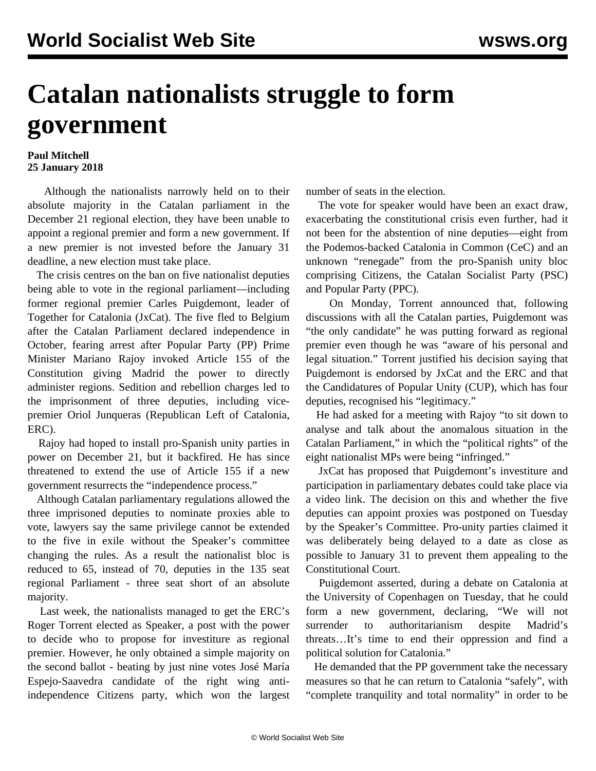## **Catalan nationalists struggle to form government**

## **Paul Mitchell 25 January 2018**

 Although the nationalists narrowly held on to their absolute majority in the Catalan parliament in the December 21 regional election, they have been unable to appoint a regional premier and form a new government. If a new premier is not invested before the January 31 deadline, a new election must take place.

 The crisis centres on the ban on five nationalist deputies being able to vote in the regional parliament—including former regional premier Carles Puigdemont, leader of Together for Catalonia (JxCat). The five fled to Belgium after the Catalan Parliament declared independence in October, fearing arrest after Popular Party (PP) Prime Minister Mariano Rajoy invoked Article 155 of the Constitution giving Madrid the power to directly administer regions. Sedition and rebellion charges led to the imprisonment of three deputies, including vicepremier Oriol Junqueras (Republican Left of Catalonia, ERC).

 Rajoy had hoped to install pro-Spanish unity parties in power on December 21, but it backfired. He has since threatened to extend the use of Article 155 if a new government resurrects the "independence process."

 Although Catalan parliamentary regulations allowed the three imprisoned deputies to nominate proxies able to vote, lawyers say the same privilege cannot be extended to the five in exile without the Speaker's committee changing the rules. As a result the nationalist bloc is reduced to 65, instead of 70, deputies in the 135 seat regional Parliament - three seat short of an absolute majority.

 Last week, the nationalists managed to get the ERC's Roger Torrent elected as Speaker, a post with the power to decide who to propose for investiture as regional premier. However, he only obtained a simple majority on the second ballot - beating by just nine votes José María Espejo-Saavedra candidate of the right wing antiindependence Citizens party, which won the largest

number of seats in the election.

 The vote for speaker would have been an exact draw, exacerbating the constitutional crisis even further, had it not been for the abstention of nine deputies—eight from the Podemos-backed Catalonia in Common (CeC) and an unknown "renegade" from the pro-Spanish unity bloc comprising Citizens, the Catalan Socialist Party (PSC) and Popular Party (PPC).

 On Monday, Torrent announced that, following discussions with all the Catalan parties, Puigdemont was "the only candidate" he was putting forward as regional premier even though he was "aware of his personal and legal situation." Torrent justified his decision saying that Puigdemont is endorsed by JxCat and the ERC and that the Candidatures of Popular Unity (CUP), which has four deputies, recognised his "legitimacy."

 He had asked for a meeting with Rajoy "to sit down to analyse and talk about the anomalous situation in the Catalan Parliament," in which the "political rights" of the eight nationalist MPs were being "infringed."

 JxCat has proposed that Puigdemont's investiture and participation in parliamentary debates could take place via a video link. The decision on this and whether the five deputies can appoint proxies was postponed on Tuesday by the Speaker's Committee. Pro-unity parties claimed it was deliberately being delayed to a date as close as possible to January 31 to prevent them appealing to the Constitutional Court.

 Puigdemont asserted, during a debate on Catalonia at the University of Copenhagen on Tuesday, that he could form a new government, declaring, "We will not surrender to authoritarianism despite Madrid's threats…It's time to end their oppression and find a political solution for Catalonia."

 He demanded that the PP government take the necessary measures so that he can return to Catalonia "safely", with "complete tranquility and total normality" in order to be